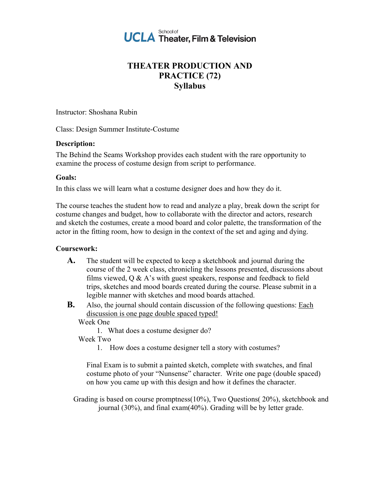

# **THEATER PRODUCTION AND PRACTICE (72) Syllabus**

Instructor: Shoshana Rubin

Class: Design Summer Institute-Costume

#### **Description:**

The Behind the Seams Workshop provides each student with the rare opportunity to examine the process of costume design from script to performance.

### **Goals:**

In this class we will learn what a costume designer does and how they do it.

The course teaches the student how to read and analyze a play, break down the script for costume changes and budget, how to collaborate with the director and actors, research and sketch the costumes, create a mood board and color palette, the transformation of the actor in the fitting room, how to design in the context of the set and aging and dying.

### **Coursework:**

- **A.** The student will be expected to keep a sketchbook and journal during the course of the 2 week class, chronicling the lessons presented, discussions about films viewed, Q & A's with guest speakers, response and feedback to field trips, sketches and mood boards created during the course. Please submit in a legible manner with sketches and mood boards attached.
- **B.** Also, the journal should contain discussion of the following questions: Each discussion is one page double spaced typed!

Week One

1. What does a costume designer do?

### Week Two

1. How does a costume designer tell a story with costumes?

Final Exam is to submit a painted sketch, complete with swatches, and final costume photo of your "Nunsense" character. Write one page (double spaced) on how you came up with this design and how it defines the character.

Grading is based on course promptness(10%), Two Questions( 20%), sketchbook and journal (30%), and final exam(40%). Grading will be by letter grade.